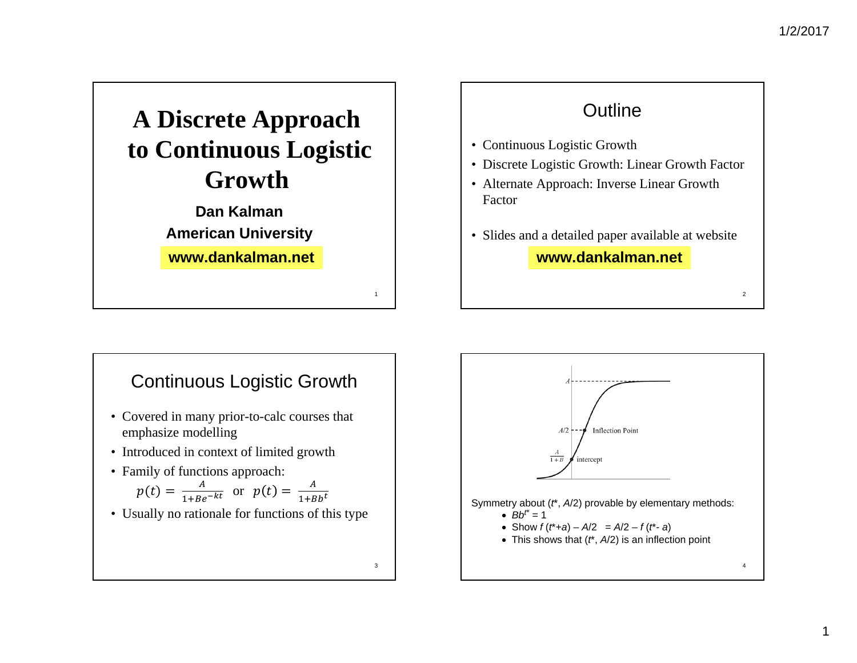2



### **Outline**

- Continuous Logistic Growth
- Discrete Logistic Growth: Linear Growth Factor
- Alternate Approach: Inverse Linear Growth Factor
- Slides and a detailed paper available at website **www.dankalman.net**

### Continuous Logistic Growth

- Covered in many prior-to-calc courses that emphasize modelling
- Introduced in context of limited growth
- Family of functions approach:

$$
p(t) = \frac{A}{1 + Be^{-kt}} \text{ or } p(t) = \frac{A}{1 + Bb^t}
$$

• Usually no rationale for functions of this type

3

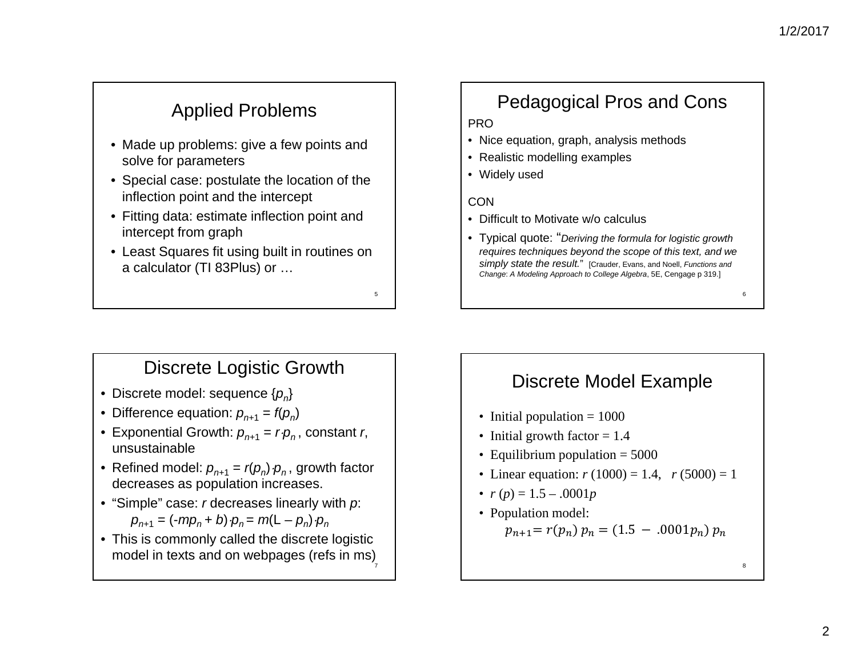6

8

# Applied Problems

- Made up problems: give a few points and solve for parameters
- Special case: postulate the location of the inflection point and the intercept
- Fitting data: estimate inflection point and intercept from graph
- Least Squares fit using built in routines on a calculator (TI 83Plus) or …

# Pedagogical Pros and Cons

### PRO

- Nice equation, graph, analysis methods
- Realistic modelling examples
- Widely used

#### **CON**

5

- Difficult to Motivate w/o calculus
- Typical quote: "*Deriving the formula for logistic growth requires techniques beyond the scope of this text, and we simply state the result.*" [Crauder, Evans, and Noell, *Functions and Change*: *A Modeling Approach to College Algebra*, 5E, Cengage p 319.]

### Discrete Logistic Growth

- Discrete model: sequence {*pn*}
- Difference equation: *pn+*<sup>1</sup> <sup>=</sup>*f*(*pn*)
- Exponential Growth:  $p_{n+1} = r \cdot p_n$ , constant *r*, unsustainable
- Refined model:  $p_{n+1} = r(p_n) \cdot p_n$ , growth factor decreases as population increases.
- "Simple" case: *<sup>r</sup>* decreases linearly with *p*:  $p_{n+1} = (-mp_n + b) \cdot p_n = m(\mathsf{L} - p_n) \cdot p_n$
- This is commonly called the discrete logistic model in texts and on webpages (refs in ms) 7

## Discrete Model Example

- Initial population = 1000
- Initial growth factor = 1.4
- Equilibrium population = 5000
- Linear equation: *r* (1000) = 1.4, *r* (5000) = 1
- *r* (*p*) = 1.5 .0001*p*
- Population model:  $p_{n+1} = r(p_n) p_n = (1.5 - .0001 p_n) p_n$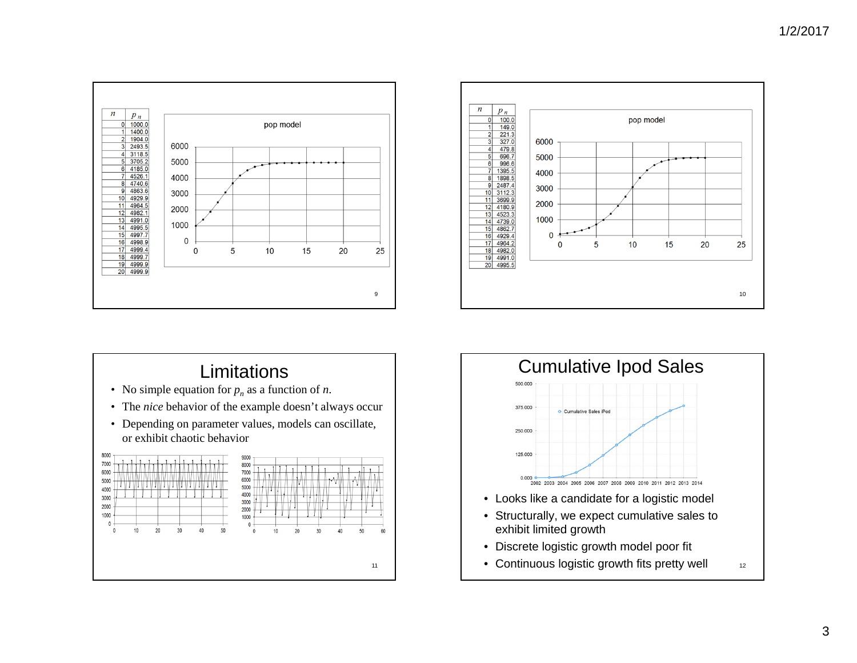





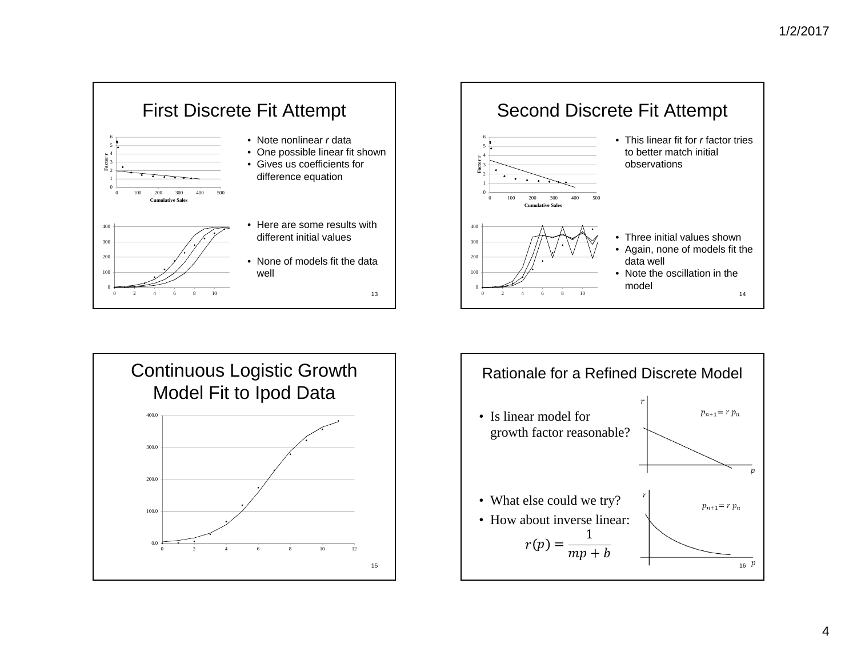





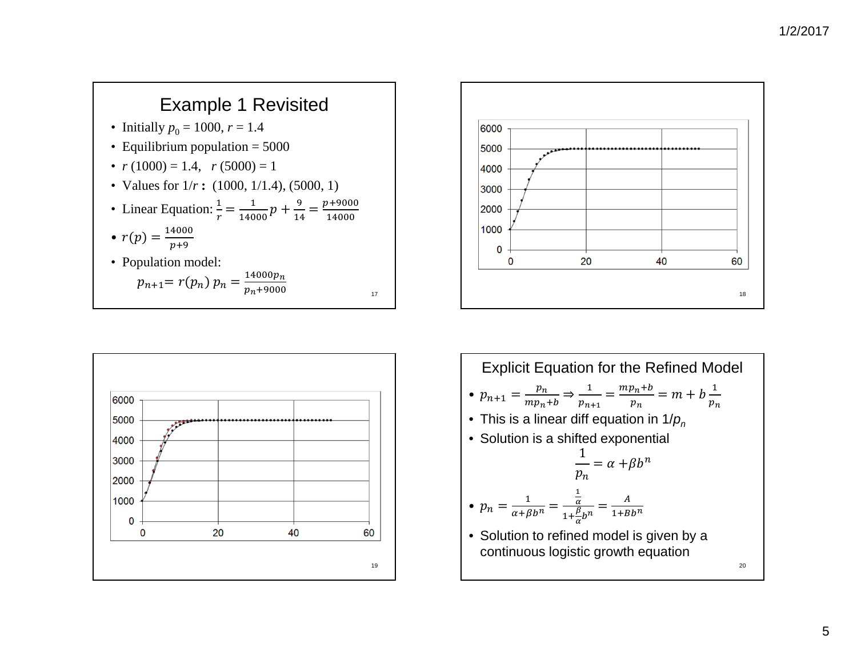### Example 1 Revisited

- Initially  $p_0 = 1000, r = 1.4$
- Equilibrium population = 5000
- $r(1000) = 1.4$ ,  $r(5000) = 1$
- Values for  $1/r$ : (1000, 1/1.4), (5000, 1)

• Linear Equation: 
$$
\frac{1}{r} = \frac{1}{14000}p + \frac{9}{14} = \frac{p+9000}{14000}
$$

$$
\bullet \ \ r(p) = \frac{14000}{p+9}
$$

• Population model:  $p_{i}$ 

$$
n+1 = r(p_n) p_n = \frac{14000p_n}{p_n + 9000}
$$





Explicit Equation for the Refined Model •  $p_{n+1} = \frac{p_n}{mp_n + b} \Rightarrow \frac{1}{p_{n+1}} = \frac{mp_n + b}{p_n} = m + b \frac{1}{p_n}$  $\bullet\,$  This is a linear diff equation in 1/ $\rho_n$ • Solution is a shifted exponential  $\frac{1}{p_n} = \alpha + \beta b^n$ •  $p_n = \frac{1}{\alpha + \beta b^n} =$  $rac{\frac{1}{\alpha}}{1+\frac{\beta}{\alpha}b^n} =$  $\frac{A}{1+Bb^n}$ • Solution to refined model is given by a continuous logistic growth equation 20